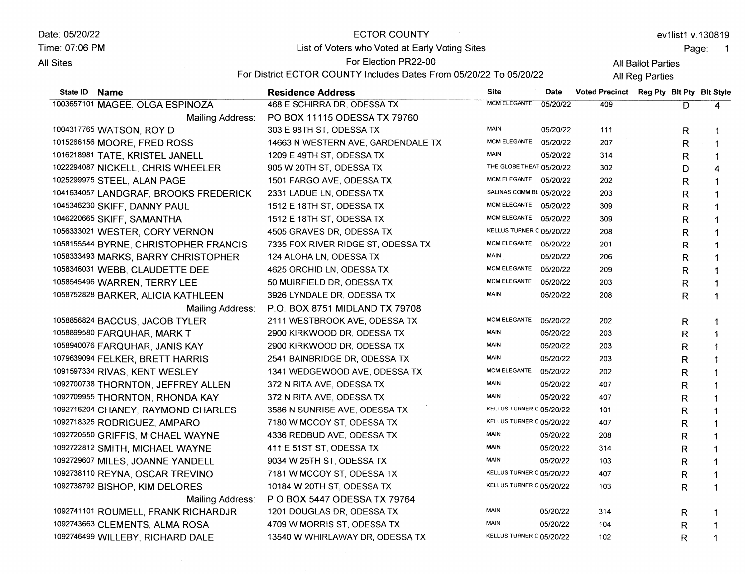Date: 05/20/22 ECTOR COUNTY ev1list1 v.130819 Time:07:06 PM List of Voters who Voted at Early Voting Sites Page: 1 For Election PR22-00 **All Sites** All Ballot Parties For District ECTOR COUNTY Includes Dates From 05/20/22 To 05/20/22 All Reg Parties State lD Name Residence Address Site Date<br>
468 E SCHIRRA DR ODESSA TX MOMELEGANTE 05/20/2 Voted Precinct Reg Pty Blt Pty Blt Style 1003657101 MAGEE, OLGA ESPINOZA 468 E SCHIRRA DR, ODESSA TX 05/20/22 409  $\overline{\mathsf{D}}$  $\overline{\mathbf{4}}$ Mailing Address: PO BOX 11115 oDESSA TX 79760 303 E 98TH ST, ODESSA TX MAIN 05/20/22 1004317765 WATSON, ROY D 111 R 1 MCM ELEGANTE 05/20/22 1015266156 MOORE, FRED ROSS 14663 N WESTERN AVE, GARDENDALE TX 207 R 1 1016218s81 TATE, KRISTEL JANELL 1209 E 49TH ST, ODESSA TX MAIN 05/20/22 314 R 1 THE GLOBE THEAT 05/20/22 1o222e4o87 NICKELL, CHRIS WHEELER 905 W 2OTH ST, ODESSA TX 302 D 4 1501 FARGO AVE, ODESSA TX MCM ELEGANTE 05/20/22 1025299975 STEEL, ALAN PAGE 202 R 1 1041634057 LANDGRAF, BROOKS FREDERICK 2331 LADUE LN, ODESSATX SALINAS COMM BL 05/20/22 203 R 1 MCM ELEGANTE 05/20/22 309 1045346230 SKIFF, DANNY PAUL ,1512E 18TH ST, ODESSATX R 1 1046220665 SKIFF, SAMANTHA 1512E 18TH ST, ODESSATX MCM ELEGANTE 05/20/22 309 R 1 KELLUS TURNER C 05/20/22 1056333021 WESTER, CORY VERNON 4505 GRAVES DR, ODESSA TX 208 R 1 MCM ELEGANTE 05/20/22 7335 FOX RIVER RIDGE ST, ODESSA TX 1058155544 BYRNE, CHRISTOPHER FRANCIS 201 R 1 1058333493 MARKS, BARRY CHRISTOPHER 124 ALOHA LN, ODESSA TX MAIN 05/20/22 206 R 1 MCM ELEGANTE 05/20/22 1058346031 WEBB, CLAUDETTE DEE 4625 ORCHID LN, ODESSA TX 209 R 1 105854s4s6 WARREN, TERRY LEE 50 MUIRFIELD DR, ODESSA TX MCM ELEGANTE 05/20/22 203 R 1 1058752828 BARKER, ALICIA KATHLEEN 3926 LYNDALE DR, ODESSA TX MAIN 05/20/22 20a R 1 P.O. BOX 8751 MIDLAND TX 79708 Mailing Address: MCM ELEGANTE 05/20/22 1058856824 BACCUS, JACOB TYLER 2111 WESTBROOK AVE, ODESSA TX 202 R 1 MAIN 05/20/22 1058899580 FARQUHAR, MARK T 29OO KIRKWOOD DR, ODESSA TX 203 R 1 1058s40076 FARQUHAR, JAN]S KAY MAIN 05/20/22 29OO KIRKWOOD DR, ODESSATX 203 R 1 107e63e0s4 FELKER, BRETT HARR]S 2541 BAINBRIDGE DR, ODESSA TX MAIN 05/20/22 203 R 1 10e15s7334 RIVAS, KENT WESLEY 1341 WEDGEWOOD AVE, ODESSA TX MCM ELEGANTE 05/20/22 202 R 1 MAIN <sup>05120122</sup> 1092700738 THORNTON, JEFFREY ALLEN 372 N RITA AVE, ODESSA TX 407 R 1 MAIN 05/20/22 1092709955 THORNTON, RHONDA KAY 372 N RITA AVE, ODESSA TX 407 R 1 KELLUS TURNER C 05/20/22 1os27 16204 CHANEY, RAYMOND CHARLES 3586 N SUNRISE AVE, ODESSA TX 101 R 1 KELLUS TURNER C 05/20/22 1092718325 RODRIGUEZ, AMPARO 7180 W MCCOY ST, ODESSA TX 407 R 1 1092720550 GRIFFIS, MICHAEL WAYNE 4336 REDBUD AVE, ODESSA TX MAIN 05/20/22 208 R 1 MAIN 05/20/22 10s2722812 SMITH, MICHAEL WAYNE 411 E 51ST ST, ODESSA TX 314 R 1 10e272e6o7 MILES, JOANNE YANDELL 9034 W 25TH ST, ODESSA TX MAIN 05/20/22 103 R 1 1092738110 REYNA, OSCAR TREVINO 7181 W MCCOY ST, ODESSA TX KELLUS TURNER C 05/20/22 407 R 1 1092738792 BISHOP, KIM DELORES KELLUS TURNER C 05/20/22 10184 W 20TH ST; ODESSA TX 103 R 1 Mailing Address: P O BOX 5447 oDESSA TX 79764 MAIN 05/20/22 1092741101 ROUMELL, FRANK RICHARDJR 1201 DOUGLAS DR, ODESSATX 314 R 1 1oe2743663 CLEMENTS, ALMA ROSA 4709 W MORRIS ST, ODESSA TX MAIN 05/20/22 104 R 1 KELLUS TURNER C 05/20/22 1092746499 WILLEBY, RICHARD DALE 13540 W WHIRLAWAY DR, ODESSA TX 102 R1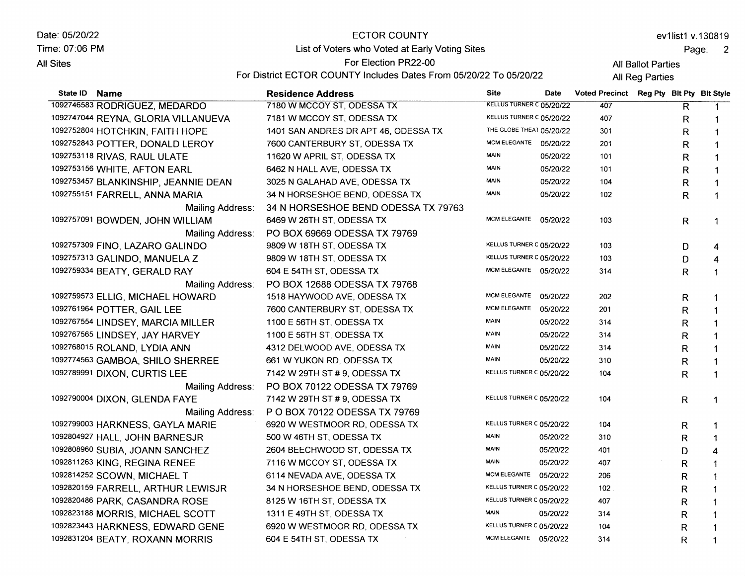Date: 05/20/22 Time: 07:06 PM **All Sites** 

## ECTOR COUNTY

List of Voters who Voted at Early Voting Sites

ev1list1 v.130819

Page: 2

All Ballot Parties

For Election PR22-00 For District ECTOR COUNTY Includes Dates From 05/20/22 To 05/20/22

All Reg Parties

| State ID Name                        | <b>Residence Address</b>             | <b>Site</b>              | <b>Date</b> | <b>Voted Precinct</b> | Reg Pty Bit Pty Bit Style |              |              |
|--------------------------------------|--------------------------------------|--------------------------|-------------|-----------------------|---------------------------|--------------|--------------|
| 1092746583 RODRIGUEZ, MEDARDO        | 7180 W MCCOY ST, ODESSA TX           | KELLUS TURNER C 05/20/22 |             | 407                   |                           | R            | -1           |
| 1092747044 REYNA, GLORIA VILLANUEVA  | 7181 W MCCOY ST, ODESSA TX           | KELLUS TURNER C 05/20/22 |             | 407                   |                           | $\mathsf{R}$ | -1           |
| 1092752804 HOTCHKIN, FAITH HOPE      | 1401 SAN ANDRES DR APT 46, ODESSA TX | THE GLOBE THEAT 05/20/22 |             | 301                   |                           | R            | $\mathbf 1$  |
| 1092752843 POTTER, DONALD LEROY      | 7600 CANTERBURY ST, ODESSA TX        | MCM ELEGANTE 05/20/22    |             | 201                   |                           | R            | $\mathbf 1$  |
| 1092753118 RIVAS, RAUL ULATE         | 11620 W APRIL ST, ODESSA TX          | <b>MAIN</b>              | 05/20/22    | 101                   |                           | R            | -1           |
| 1092753156 WHITE, AFTON EARL         | 6462 N HALL AVE, ODESSA TX           | <b>MAIN</b>              | 05/20/22    | 101                   |                           | R            | $\mathbf 1$  |
| 1092753457 BLANKINSHIP, JEANNIE DEAN | 3025 N GALAHAD AVE, ODESSA TX        | <b>MAIN</b>              | 05/20/22    | 104                   |                           | R            | $\mathbf 1$  |
| 1092755151 FARRELL, ANNA MARIA       | 34 N HORSESHOE BEND, ODESSA TX       | <b>MAIN</b>              | 05/20/22    | 102                   |                           | R            | $\mathbf{1}$ |
| Mailing Address:                     | 34 N HORSESHOE BEND ODESSA TX 79763  |                          |             |                       |                           |              |              |
| 1092757091 BOWDEN, JOHN WILLIAM      | 6469 W 26TH ST, ODESSA TX            | MCM ELEGANTE 05/20/22    |             | 103                   |                           | R            | 1            |
| Mailing Address:                     | PO BOX 69669 ODESSA TX 79769         |                          |             |                       |                           |              |              |
| 1092757309 FINO, LAZARO GALINDO      | 9809 W 18TH ST, ODESSA TX            | KELLUS TURNER C 05/20/22 |             | 103                   |                           | D            | 4            |
| 1092757313 GALINDO, MANUELA Z        | 9809 W 18TH ST, ODESSA TX            | KELLUS TURNER C 05/20/22 |             | 103                   |                           | D            | 4            |
| 1092759334 BEATY, GERALD RAY         | 604 E 54TH ST, ODESSA TX             | MCM ELEGANTE 05/20/22    |             | 314                   |                           | R            | 1            |
| Mailing Address:                     | PO BOX 12688 ODESSA TX 79768         |                          |             |                       |                           |              |              |
| 1092759573 ELLIG, MICHAEL HOWARD     | 1518 HAYWOOD AVE, ODESSA TX          | MCM ELEGANTE 05/20/22    |             | 202                   |                           | R            | 1            |
| 1092761964 POTTER, GAIL LEE          | 7600 CANTERBURY ST, ODESSA TX        | MCM ELEGANTE             | 05/20/22    | 201                   |                           | R            | 1            |
| 1092767554 LINDSEY, MARCIA MILLER    | 1100 E 56TH ST, ODESSA TX            | <b>MAIN</b>              | 05/20/22    | 314                   |                           | R            |              |
| 1092767565 LINDSEY, JAY HARVEY       | 1100 E 56TH ST, ODESSA TX            | <b>MAIN</b>              | 05/20/22    | 314                   |                           | R            |              |
| 1092768015 ROLAND, LYDIA ANN         | 4312 DELWOOD AVE, ODESSA TX          | <b>MAIN</b>              | 05/20/22    | 314                   |                           | R            | 1            |
| 1092774563 GAMBOA, SHILO SHERREE     | 661 W YUKON RD, ODESSA TX            | <b>MAIN</b>              | 05/20/22    | 310                   |                           | R            | 1            |
| 1092789991 DIXON, CURTIS LEE         | 7142 W 29TH ST # 9, ODESSA TX        | KELLUS TURNER C 05/20/22 |             | 104                   |                           | R            | $\mathbf 1$  |
| Mailing Address:                     | PO BOX 70122 ODESSA TX 79769         |                          |             |                       |                           |              |              |
| 1092790004 DIXON, GLENDA FAYE        | 7142 W 29TH ST # 9, ODESSA TX        | KELLUS TURNER C 05/20/22 |             | 104                   |                           | R.           | $\mathbf 1$  |
| Mailing Address:                     | P O BOX 70122 ODESSA TX 79769        |                          |             |                       |                           |              |              |
| 1092799003 HARKNESS, GAYLA MARIE     | 6920 W WESTMOOR RD, ODESSA TX        | KELLUS TURNER C 05/20/22 |             | 104                   |                           | R            | 1            |
| 1092804927 HALL, JOHN BARNESJR       | 500 W 46TH ST, ODESSA TX             | <b>MAIN</b>              | 05/20/22    | 310                   |                           | R            | 1            |
| 1092808960 SUBIA, JOANN SANCHEZ      | 2604 BEECHWOOD ST, ODESSA TX         | <b>MAIN</b>              | 05/20/22    | 401                   |                           | D            | 4            |
| 1092811263 KING, REGINA RENEE        | 7116 W MCCOY ST, ODESSA TX           | <b>MAIN</b>              | 05/20/22    | 407                   |                           | R            | 1            |
| 1092814252 SCOWN, MICHAEL T          | 6114 NEVADA AVE, ODESSA TX           | MCM ELEGANTE 05/20/22    |             | 206                   |                           | R            | 1            |
| 1092820159 FARRELL, ARTHUR LEWISJR   | 34 N HORSESHOE BEND, ODESSA TX       | KELLUS TURNER C 05/20/22 |             | 102                   |                           | R            | 1            |
| 1092820486 PARK, CASANDRA ROSE       | 8125 W 16TH ST, ODESSA TX            | KELLUS TURNER C 05/20/22 |             | 407                   |                           | R            | 1            |
| 1092823188 MORRIS, MICHAEL SCOTT     | 1311 E 49TH ST, ODESSA TX            | <b>MAIN</b>              | 05/20/22    | 314                   |                           | R            | 1            |
| 1092823443 HARKNESS, EDWARD GENE     | 6920 W WESTMOOR RD, ODESSA TX        | KELLUS TURNER C 05/20/22 |             | 104                   |                           | R            | 1            |
| 1092831204 BEATY, ROXANN MORRIS      | 604 E 54TH ST, ODESSA TX             | MCM ELEGANTE 05/20/22    |             | 314                   |                           | R            | 1            |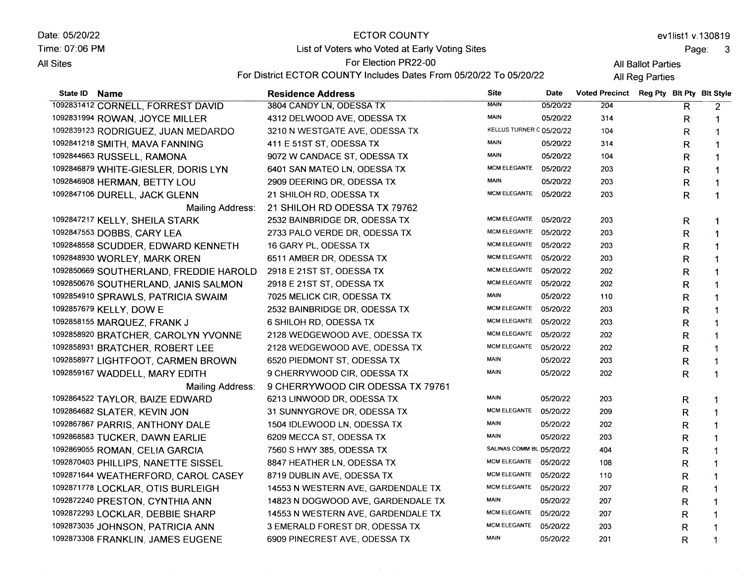Date: 05/20/22 Time: 07:06 PM **All Sites** State ID Name ECTOR COUNTY List of Voters who Voted at Early Voting Sites For Election PR22-00 For District ECTOR COUNTY Includes Dates From 05/20/22 To 05/20/22 Residence Address and Site Date ev1list1 v.130819 Page: <sup>3</sup> All Ballot Parties **All Reg Parties** Voted Precinct Reg Pty Blt Pty Blt Style

| 1092831412 CORNELL, FORREST DAVID      | 3804 CANDY LN, ODESSA TX           | <b>MAIN</b>              | 05/20/22 | 204 | R            | $\overline{2}$ |
|----------------------------------------|------------------------------------|--------------------------|----------|-----|--------------|----------------|
| 1092831994 ROWAN, JOYCE MILLER         | 4312 DELWOOD AVE, ODESSA TX        | <b>MAIN</b>              | 05/20/22 | 314 | R            | 1              |
| 1092839123 RODRIGUEZ, JUAN MEDARDO     | 3210 N WESTGATE AVE, ODESSA TX     | KELLUS TURNER C 05/20/22 |          | 104 | R            |                |
| 1092841218 SMITH, MAVA FANNING         | 411 E 51ST ST, ODESSA TX           | <b>MAIN</b>              | 05/20/22 | 314 | R            | 1              |
| 1092844663 RUSSELL, RAMONA             | 9072 W CANDACE ST, ODESSA TX       | <b>MAIN</b>              | 05/20/22 | 104 | R            | 1              |
| 1092846879 WHITE-GIESLER, DORIS LYN    | 6401 SAN MATEO LN, ODESSA TX       | <b>MCM ELEGANTE</b>      | 05/20/22 | 203 | R            | 1              |
| 1092846908 HERMAN, BETTY LOU           | 2909 DEERING DR, ODESSA TX         | <b>MAIN</b>              | 05/20/22 | 203 | $\mathsf R$  | 1              |
| 1092847106 DURELL, JACK GLENN          | 21 SHILOH RD, ODESSA TX            | <b>MCM ELEGANTE</b>      | 05/20/22 | 203 | $\mathsf{R}$ | 1              |
| Mailing Address:                       | 21 SHILOH RD ODESSA TX 79762       |                          |          |     |              |                |
| 1092847217 KELLY, SHEILA STARK         | 2532 BAINBRIDGE DR, ODESSA TX      | <b>MCM ELEGANTE</b>      | 05/20/22 | 203 | R            |                |
| 1092847553 DOBBS, CARY LEA             | 2733 PALO VERDE DR, ODESSA TX      | <b>MCM ELEGANTE</b>      | 05/20/22 | 203 | R            |                |
| 1092848558 SCUDDER, EDWARD KENNETH     | 16 GARY PL, ODESSA TX              | <b>MCM ELEGANTE</b>      | 05/20/22 | 203 | R            |                |
| 1092848930 WORLEY, MARK OREN           | 6511 AMBER DR, ODESSA TX           | <b>MCM ELEGANTE</b>      | 05/20/22 | 203 | R            |                |
| 1092850669 SOUTHERLAND, FREDDIE HAROLD | 2918 E 21ST ST, ODESSA TX          | <b>MCM ELEGANTE</b>      | 05/20/22 | 202 | R            |                |
| 1092850676 SOUTHERLAND, JANIS SALMON   | 2918 E 21ST ST, ODESSA TX          | <b>MCM ELEGANTE</b>      | 05/20/22 | 202 | $\mathsf{R}$ |                |
| 1092854910 SPRAWLS, PATRICIA SWAIM     | 7025 MELICK CIR, ODESSA TX         | <b>MAIN</b>              | 05/20/22 | 110 | R            |                |
| 1092857679 KELLY, DOW E                | 2532 BAINBRIDGE DR, ODESSA TX      | <b>MCM ELEGANTE</b>      | 05/20/22 | 203 | $\mathsf{R}$ |                |
| 1092858155 MARQUEZ, FRANK J            | 6 SHILOH RD, ODESSA TX             | <b>MCM ELEGANTE</b>      | 05/20/22 | 203 | R            |                |
| 1092858920 BRATCHER, CAROLYN YVONNE    | 2128 WEDGEWOOD AVE, ODESSA TX      | <b>MCM ELEGANTE</b>      | 05/20/22 | 202 | R            |                |
| 1092858931 BRATCHER, ROBERT LEE        | 2128 WEDGEWOOD AVE, ODESSA TX      | MCM ELEGANTE             | 05/20/22 | 202 | $\mathsf{R}$ |                |
| 1092858977 LIGHTFOOT, CARMEN BROWN     | 6520 PIEDMONT ST, ODESSA TX        | <b>MAIN</b>              | 05/20/22 | 203 | R            |                |
| 1092859167 WADDELL, MARY EDITH         | 9 CHERRYWOOD CIR, ODESSA TX        | <b>MAIN</b>              | 05/20/22 | 202 | R            |                |
| Mailing Address:                       | 9 CHERRYWOOD CIR ODESSA TX 79761   |                          |          |     |              |                |
| 1092864522 TAYLOR, BAIZE EDWARD        | 6213 LINWOOD DR, ODESSA TX         | <b>MAIN</b>              | 05/20/22 | 203 | R            |                |
| 1092864682 SLATER, KEVIN JON           | 31 SUNNYGROVE DR, ODESSA TX        | <b>MCM ELEGANTE</b>      | 05/20/22 | 209 | R            | 1              |
| 1092867867 PARRIS, ANTHONY DALE        | 1504 IDLEWOOD LN, ODESSA TX        | <b>MAIN</b>              | 05/20/22 | 202 | R            |                |
| 1092868583 TUCKER, DAWN EARLIE         | 6209 MECCA ST, ODESSA TX           | <b>MAIN</b>              | 05/20/22 | 203 | R            |                |
| 1092869055 ROMAN, CELIA GARCIA         | 7560 S HWY 385, ODESSA TX          | SALINAS COMM BL 05/20/22 |          | 404 | R            |                |
| 1092870403 PHILLIPS, NANETTE SISSEL    | 8847 HEATHER LN, ODESSA TX         | <b>MCM ELEGANTE</b>      | 05/20/22 | 108 | R            |                |
| 1092871644 WEATHERFORD, CAROL CASEY    | 8719 DUBLIN AVE, ODESSA TX         | <b>MCM ELEGANTE</b>      | 05/20/22 | 110 | R            |                |
| 1092871778 LOCKLAR, OTIS BURLEIGH      | 14553 N WESTERN AVE, GARDENDALE TX | MCM ELEGANTE             | 05/20/22 | 207 | $\mathsf R$  |                |
| 1092872240 PRESTON, CYNTHIA ANN        | 14823 N DOGWOOD AVE, GARDENDALE TX | <b>MAIN</b>              | 05/20/22 | 207 | R            | 1              |
| 1092872293 LOCKLAR, DEBBIE SHARP       | 14553 N WESTERN AVE, GARDENDALE TX | <b>MCM ELEGANTE</b>      | 05/20/22 | 207 | R            | 1              |
| 1092873035 JOHNSON, PATRICIA ANN       | 3 EMERALD FOREST DR, ODESSA TX     | <b>MCM ELEGANTE</b>      | 05/20/22 | 203 | $\mathsf{R}$ |                |
| 1092873308 FRANKLIN, JAMES EUGENE      | 6909 PINECREST AVE, ODESSA TX      | <b>MAIN</b>              | 05/20/22 | 201 | R            | 1              |

 $\sim$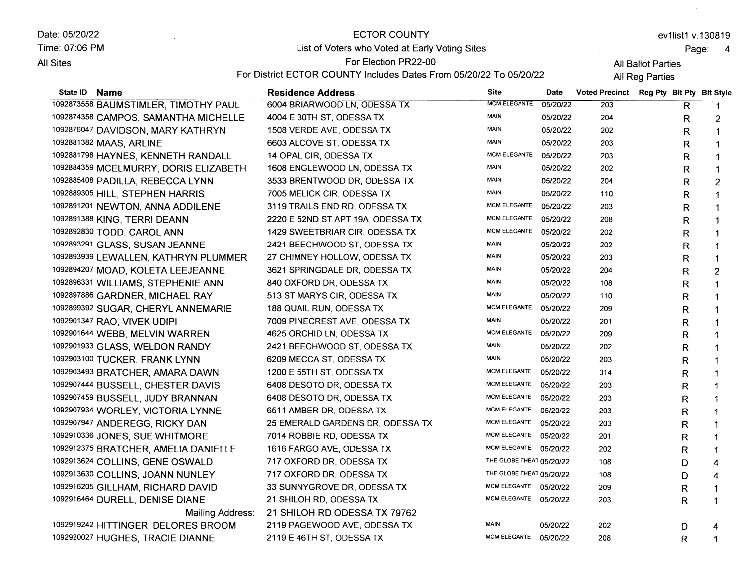Date: 05/20/22 Time: 07:06 PM **All Sites** State lD Name ECTOR COUNTY List of Voters who Voted at Early Voting Sites For Election PR22-00 For District ECTOR COUNTY Includes Dates From 05/20/22 To 05/20/22 Residence Address Site ev1list1 v.130819 Page: 4 All Ballot Parties **All Reg Parties** Date Voted Precinct Reg Pty Blt Pty Blt Style

| 1092873558 BAUMSTIMLER, TIMOTHY PAUL  | 6004 BRIARWOOD LN, ODESSA TX      | <b>MCM ELEGANTE</b>      | 05/20/22 | 203 | R | $\mathbf 1$    |
|---------------------------------------|-----------------------------------|--------------------------|----------|-----|---|----------------|
| 1092874358 CAMPOS, SAMANTHA MICHELLE  | 4004 E 30TH ST, ODESSA TX         | <b>MAIN</b>              | 05/20/22 | 204 | R | 2              |
| 1092876047 DAVIDSON, MARY KATHRYN     | 1508 VERDE AVE, ODESSA TX         | <b>MAIN</b>              | 05/20/22 | 202 | R | $\mathbf{1}$   |
| 1092881382 MAAS, ARLINE               | 6603 ALCOVE ST, ODESSA TX         | <b>MAIN</b>              | 05/20/22 | 203 | R | $\mathbf{1}$   |
| 1092881798 HAYNES, KENNETH RANDALL    | 14 OPAL CIR, ODESSA TX            | <b>MCM ELEGANTE</b>      | 05/20/22 | 203 | R | 1              |
| 1092884359 MCELMURRY, DORIS ELIZABETH | 1608 ENGLEWOOD LN, ODESSA TX      | MAIN                     | 05/20/22 | 202 | R | 1              |
| 1092885408 PADILLA, REBECCA LYNN      | 3533 BRENTWOOD DR, ODESSA TX      | <b>MAIN</b>              | 05/20/22 | 204 | R | $\overline{2}$ |
| 1092889305 HILL, STEPHEN HARRIS       | 7005 MELICK CIR, ODESSA TX        | MAIN                     | 05/20/22 | 110 | R | 1              |
| 1092891201 NEWTON, ANNA ADDILENE      | 3119 TRAILS END RD, ODESSA TX     | <b>MCM ELEGANTE</b>      | 05/20/22 | 203 | R | 1              |
| 1092891388 KING, TERRI DEANN          | 2220 E 52ND ST APT 19A, ODESSA TX | <b>MCM ELEGANTE</b>      | 05/20/22 | 208 | R | 1              |
| 1092892830 TODD, CAROL ANN            | 1429 SWEETBRIAR CIR, ODESSA TX    | <b>MCM ELEGANTE</b>      | 05/20/22 | 202 | R | 1              |
| 1092893291 GLASS, SUSAN JEANNE        | 2421 BEECHWOOD ST, ODESSA TX      | MAIN                     | 05/20/22 | 202 | R | 1              |
| 1092893939 LEWALLEN, KATHRYN PLUMMER  | 27 CHIMNEY HOLLOW, ODESSA TX      | MAIN                     | 05/20/22 | 203 | R | 1              |
| 1092894207 MOAD, KOLETA LEEJEANNE     | 3621 SPRINGDALE DR, ODESSA TX     | <b>MAIN</b>              | 05/20/22 | 204 | R | $\overline{c}$ |
| 1092896331 WILLIAMS, STEPHENIE ANN    | 840 OXFORD DR, ODESSA TX          | <b>MAIN</b>              | 05/20/22 | 108 | R | 1              |
| 1092897886 GARDNER, MICHAEL RAY       | 513 ST MARYS CIR, ODESSA TX       | <b>MAIN</b>              | 05/20/22 | 110 | R | $\mathbf{1}$   |
| 1092899392 SUGAR, CHERYL ANNEMARIE    | 188 QUAIL RUN, ODESSA TX          | MCM ELEGANTE             | 05/20/22 | 209 | R | 1              |
| 1092901347 RAO, VIVEK UDIPI           | 7009 PINECREST AVE, ODESSA TX     | <b>MAIN</b>              | 05/20/22 | 201 | R | -1             |
| 1092901644 WEBB, MELVIN WARREN        | 4625 ORCHID LN, ODESSA TX         | <b>MCM ELEGANTE</b>      | 05/20/22 | 209 | R | 1              |
| 1092901933 GLASS, WELDON RANDY        | 2421 BEECHWOOD ST, ODESSA TX      | MAIN                     | 05/20/22 | 202 | R | 1              |
| 1092903100 TUCKER, FRANK LYNN         | 6209 MECCA ST, ODESSA TX          | <b>MAIN</b>              | 05/20/22 | 203 | R | -1             |
| 1092903493 BRATCHER, AMARA DAWN       | 1200 E 55TH ST, ODESSA TX         | <b>MCM ELEGANTE</b>      | 05/20/22 | 314 | R | 1              |
| 1092907444 BUSSELL, CHESTER DAVIS     | 6408 DESOTO DR, ODESSA TX         | MCM ELEGANTE 05/20/22    |          | 203 | R | 1              |
| 1092907459 BUSSELL, JUDY BRANNAN      | 6408 DESOTO DR, ODESSA TX         | MCM ELEGANTE 05/20/22    |          | 203 | R | 1              |
| 1092907934 WORLEY, VICTORIA LYNNE     | 6511 AMBER DR, ODESSA TX          | MCM ELEGANTE 05/20/22    |          | 203 | R | -1             |
| 1092907947 ANDEREGG, RICKY DAN        | 25 EMERALD GARDENS DR, ODESSA TX  | MCM ELEGANTE 05/20/22    |          | 203 | R |                |
| 1092910336 JONES, SUE WHITMORE        | 7014 ROBBIE RD, ODESSA TX         | MCM ELEGANTE 05/20/22    |          | 201 | R |                |
| 1092912375 BRATCHER, AMELIA DANIELLE  | 1616 FARGO AVE, ODESSA TX         | MCM ELEGANTE 05/20/22    |          | 202 | R |                |
| 1092913624 COLLINS, GENE OSWALD       | 717 OXFORD DR, ODESSA TX          | THE GLOBE THEAT 05/20/22 |          | 108 | D | 4              |
| 1092913630 COLLINS, JOANN NUNLEY      | 717 OXFORD DR, ODESSA TX          | THE GLOBE THEAT 05/20/22 |          | 108 | D | 4              |
| 1092916205 GILLHAM, RICHARD DAVID     | 33 SUNNYGROVE DR, ODESSA TX       | MCM ELEGANTE 05/20/22    |          | 209 | R | 1              |
| 1092916464 DURELL, DENISE DIANE       | 21 SHILOH RD, ODESSA TX           | MCM ELEGANTE 05/20/22    |          | 203 | R | 1              |
| Mailing Address:                      | 21 SHILOH RD ODESSA TX 79762      |                          |          |     |   |                |
| 1092919242 HITTINGER, DELORES BROOM   | 2119 PAGEWOOD AVE, ODESSA TX      | <b>MAIN</b>              | 05/20/22 | 202 | D | 4              |
| 1092920027 HUGHES, TRACIE DIANNE      | 2119 E 46TH ST, ODESSA TX         | MCM ELEGANTE 05/20/22    |          | 208 | R | 1              |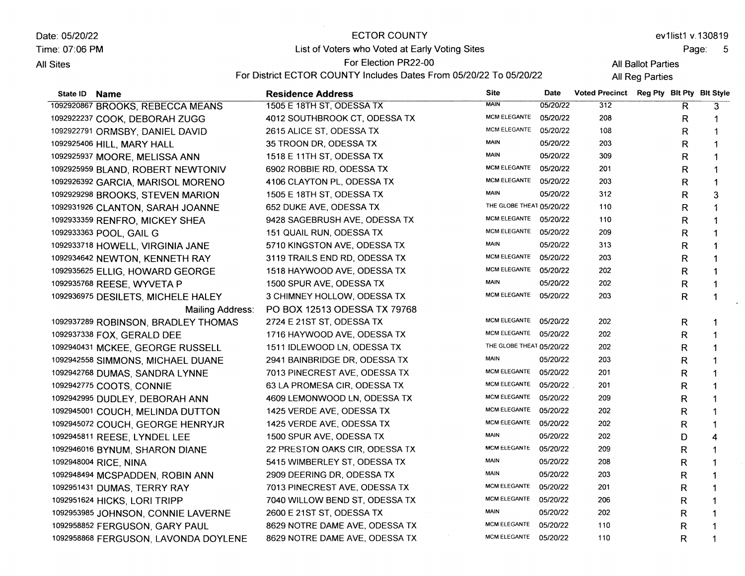Date: 05/20/22 Time: 07:06 PM **All Sites** 

## ECTOR COUNTY

List of Voters who Voted at Early Voting Sites For Election PR22-00

ev1list1 v.130819

Page: 5

 $\epsilon$ 

For District ECTOR COUNTY Includes Dates From 05/20/22 To 05/20/22

All Ballot Parties All Reg Parties

| State ID Name |                                      | <b>Residence Address</b>       | <b>Site</b>              | Date     | Voted Precinct Reg Pty Blt Pty Blt Style |             |                |
|---------------|--------------------------------------|--------------------------------|--------------------------|----------|------------------------------------------|-------------|----------------|
|               | 1092920867 BROOKS, REBECCA MEANS     | 1505 E 18TH ST, ODESSA TX      | <b>MAIN</b>              | 05/20/22 | 312                                      | R           | 3              |
|               | 1092922237 COOK, DEBORAH ZUGG        | 4012 SOUTHBROOK CT, ODESSA TX  | <b>MCM ELEGANTE</b>      | 05/20/22 | 208                                      | R           | 1              |
|               | 1092922791 ORMSBY, DANIEL DAVID      | 2615 ALICE ST, ODESSA TX       | MCM ELEGANTE 05/20/22    |          | 108                                      | R           | 1              |
|               | 1092925406 HILL, MARY HALL           | 35 TROON DR, ODESSA TX         | <b>MAIN</b>              | 05/20/22 | 203                                      | R           | 1              |
|               | 1092925937 MOORE, MELISSA ANN        | 1518 E 11TH ST, ODESSA TX      | <b>MAIN</b>              | 05/20/22 | 309                                      | R           | $\mathbf{1}$   |
|               | 1092925959 BLAND, ROBERT NEWTONIV    | 6902 ROBBIE RD, ODESSA TX      | <b>MCM ELEGANTE</b>      | 05/20/22 | 201                                      | R           | 1              |
|               | 1092926392 GARCIA, MARISOL MORENO    | 4106 CLAYTON PL, ODESSA TX     | <b>MCM ELEGANTE</b>      | 05/20/22 | 203                                      | R           | $\mathbf 1$    |
|               | 1092929298 BROOKS, STEVEN MARION     | 1505 E 18TH ST, ODESSA TX      | <b>MAIN</b>              | 05/20/22 | 312                                      | R           | 3              |
|               | 1092931926 CLANTON, SARAH JOANNE     | 652 DUKE AVE, ODESSA TX        | THE GLOBE THEAT 05/20/22 |          | 110                                      | R           | 1              |
|               | 1092933359 RENFRO, MICKEY SHEA       | 9428 SAGEBRUSH AVE, ODESSA TX  | MCM ELEGANTE 05/20/22    |          | 110                                      | R           | 1              |
|               | 1092933363 POOL, GAIL G              | 151 QUAIL RUN, ODESSA TX       | MCM ELEGANTE 05/20/22    |          | 209                                      | R           | 1              |
|               | 1092933718 HOWELL, VIRGINIA JANE     | 5710 KINGSTON AVE, ODESSA TX   | <b>MAIN</b>              | 05/20/22 | 313                                      | R           | 1              |
|               | 1092934642 NEWTON, KENNETH RAY       | 3119 TRAILS END RD, ODESSA TX  | MCM ELEGANTE 05/20/22    |          | 203                                      | R           | 1              |
|               | 1092935625 ELLIG, HOWARD GEORGE      | 1518 HAYWOOD AVE, ODESSA TX    | MCM ELEGANTE 05/20/22    |          | 202                                      | R           | 1              |
|               | 1092935768 REESE, WYVETA P           | 1500 SPUR AVE, ODESSA TX       | <b>MAIN</b>              | 05/20/22 | 202                                      | R           | 1              |
|               | 1092936975 DESILETS, MICHELE HALEY   | 3 CHIMNEY HOLLOW, ODESSA TX    | MCM ELEGANTE 05/20/22    |          | 203                                      | R           | 1              |
|               | Mailing Address:                     | PO BOX 12513 ODESSA TX 79768   |                          |          |                                          |             |                |
|               | 1092937289 ROBINSON, BRADLEY THOMAS  | 2724 E 21ST ST, ODESSA TX      | MCM ELEGANTE 05/20/22    |          | 202                                      | R           | 1              |
|               | 1092937338 FOX, GERALD DEE           | 1716 HAYWOOD AVE, ODESSA TX    | MCM ELEGANTE 05/20/22    |          | 202                                      | R           | 1              |
|               | 1092940431 MCKEE, GEORGE RUSSELL     | 1511 IDLEWOOD LN, ODESSA TX    | THE GLOBE THEAT 05/20/22 |          | 202                                      | R           | 1              |
|               | 1092942558 SIMMONS, MICHAEL DUANE    | 2941 BAINBRIDGE DR, ODESSA TX  | <b>MAIN</b>              | 05/20/22 | 203                                      | R           | $\mathbf{1}$   |
|               | 1092942768 DUMAS, SANDRA LYNNE       | 7013 PINECREST AVE, ODESSA TX  | MCM ELEGANTE 05/20/22    |          | 201                                      | R           | 1              |
|               | 1092942775 COOTS, CONNIE             | 63 LA PROMESA CIR, ODESSA TX   | MCM ELEGANTE 05/20/22    |          | 201                                      | R           | $\mathbf{1}$   |
|               | 1092942995 DUDLEY, DEBORAH ANN       | 4609 LEMONWOOD LN, ODESSA TX   | <b>MCM ELEGANTE</b>      | 05/20/22 | 209                                      | R           | 1              |
|               | 1092945001 COUCH, MELINDA DUTTON     | 1425 VERDE AVE, ODESSA TX      | <b>MCM ELEGANTE</b>      | 05/20/22 | 202                                      | R           |                |
|               | 1092945072 COUCH, GEORGE HENRYJR     | 1425 VERDE AVE, ODESSA TX      | <b>MCM ELEGANTE</b>      | 05/20/22 | 202                                      | R           | 1              |
|               | 1092945811 REESE, LYNDEL LEE         | 1500 SPUR AVE, ODESSA TX       | <b>MAIN</b>              | 05/20/22 | 202                                      | D           | $\overline{4}$ |
|               | 1092946016 BYNUM, SHARON DIANE       | 22 PRESTON OAKS CIR, ODESSA TX | <b>MCM ELEGANTE</b>      | 05/20/22 | 209                                      | R           | 1              |
|               | 1092948004 RICE, NINA                | 5415 WIMBERLEY ST, ODESSA TX   | MAIN                     | 05/20/22 | 208                                      | R           | 1              |
|               | 1092948494 MCSPADDEN, ROBIN ANN      | 2909 DEERING DR, ODESSA TX     | <b>MAIN</b>              | 05/20/22 | 203                                      | R           | 1              |
|               | 1092951431 DUMAS, TERRY RAY          | 7013 PINECREST AVE, ODESSA TX  | <b>MCM ELEGANTE</b>      | 05/20/22 | 201                                      | $\mathsf R$ | $\mathbf 1$    |
|               | 1092951624 HICKS, LORI TRIPP         | 7040 WILLOW BEND ST, ODESSA TX | <b>MCM ELEGANTE</b>      | 05/20/22 | 206                                      | R           | 1              |
|               | 1092953985 JOHNSON, CONNIE LAVERNE   | 2600 E 21ST ST, ODESSA TX      | <b>MAIN</b>              | 05/20/22 | 202                                      | R           | 1              |
|               | 1092958852 FERGUSON, GARY PAUL       | 8629 NOTRE DAME AVE, ODESSA TX | MCM ELEGANTE             | 05/20/22 | 110                                      | R           | 1              |
|               | 1092958868 FERGUSON, LAVONDA DOYLENE | 8629 NOTRE DAME AVE, ODESSA TX | MCM ELEGANTE 05/20/22    |          | 110                                      | R           | $\mathbf 1$    |
|               |                                      |                                |                          |          |                                          |             |                |